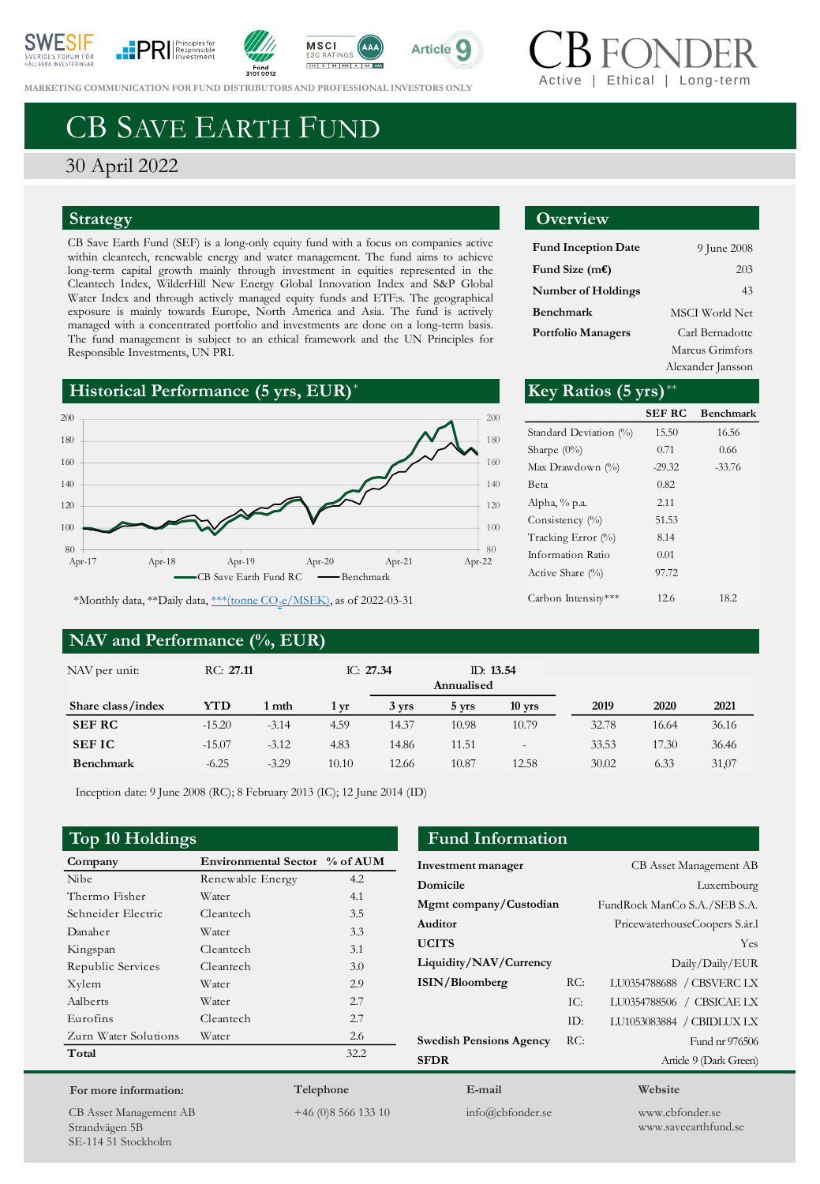











**MARKETING COMMUNICATION FOR FUND D[ISTRIBUTORS](https://www.svanen.se/en/funds/save-in-funds/) AND PROFESSIONAL INVESTORS ONLY** 

# CB SAVE EARTH FUND

30 April 2022

### **Strategy**

CB Save Earth Fund (SEF) is a long-only equity fund with a focus on companies active within cleantech, renewable energy and water management. The fund aims to achieve long-term capital growth mainly through investment in equities represented in the Cleantech Index, WilderHill New Energy Global Innovation Index and S&P Global Water Index and through actively managed equity funds and ETF:s. The geographical exposure is mainly towards Europe, North America and Asia. The fund is actively managed with a concentrated portfolio and investments are done on a long-term basis. The fund management is subject to an ethical framework and the UN Principles for Responsible Investments, UN PRI.





\*Monthly data, \*\*Daily data, <u>\*\*\*(tonne CO<sub>2</sub>e/MSEK</u>), as of 2022-03-31

### **NAV and Performance (%, EUR)**

## **Overview**

| <b>Fund Inception Date</b> | 9 June 2008           |
|----------------------------|-----------------------|
| Fund Size (m€)             | 203                   |
| Number of Holdings         | 43                    |
| Benchmark                  | <b>MSCI</b> World Net |
| Portfolio Managers         | Carl Bernadotte       |
|                            | Marcus Grimfors       |

Alexander Jansson

| ×.                       | Key Ratios $(5 \text{ yrs})^{**}$ |               |                  |
|--------------------------|-----------------------------------|---------------|------------------|
| 200                      |                                   | <b>SEF RC</b> | <b>Benchmark</b> |
| 180                      | Standard Deviation (%)            | 15.50         | 16.56            |
|                          | Sharpe $(0\%)$                    | 0.71          | 0.66             |
| 160                      | Max Drawdown (%)                  | $-29.32$      | $-33.76$         |
| 140                      | Beta                              | 0.82          |                  |
| 120                      | Alpha, % p.a.                     | 2.11          |                  |
| 100                      | Consistency (%)                   | 51.53         |                  |
|                          | Tracking Error (%)                | 8.14          |                  |
| 80<br>$Apr-21$<br>Apr-22 | Information Ratio                 | 0.01          |                  |
| nchmark                  | Active Share $(\%)$               | 97.72         |                  |
| f 2022-03-31             | Carbon Intensity***               | 12.6          | 18.2             |

| NAV per unit:     | RC: 27.11 |         | IC: $27.34$ |       | ID: 13.54<br>Annualised |                          |       |       |       |
|-------------------|-----------|---------|-------------|-------|-------------------------|--------------------------|-------|-------|-------|
| Share class/index | YTD       | 1 mth   | 1 vr        | 3 yrs | 5 yrs                   | $10$ yrs                 | 2019  | 2020  | 2021  |
| <b>SEF RC</b>     | $-15.20$  | $-3.14$ | 4.59        | 14.37 | 10.98                   | 10.79                    | 32.78 | 16.64 | 36.16 |
| <b>SEFIC</b>      | $-15.07$  | $-3.12$ | 4.83        | 14.86 | 11.51                   | $\overline{\phantom{m}}$ | 33.53 | 17.30 | 36.46 |
| <b>Benchmark</b>  | $-6.25$   | $-3.29$ | 10.10       | 12.66 | 10.87                   | 12.58                    | 30.02 | 6.33  | 31,07 |

Inception date: 9 June 2008 (RC); 8 February 2013 (IC); 12 June 2014 (ID)

### **Top 10 Holdings Fund Information**

| Company              | Environmental Sector % of AUM |      |
|----------------------|-------------------------------|------|
| <b>Nibe</b>          | Renewable Energy              | 4.2  |
| Thermo Fisher        | Water                         | 4.1  |
| Schneider Electric   | Cleantech                     | 3.5  |
| Danaher              | Water                         | 3.3  |
| Kingspan             | Cleantech                     | 3.1  |
| Republic Services    | Cleantech                     | 3.0  |
| Xylem                | Water                         | 2.9  |
| Aalberts             | Water                         | 2.7  |
| Eurofins             | Cleantech                     | 2.7  |
| Zurn Water Solutions | Water                         | 2.6  |
| Total                |                               | 32.2 |
|                      |                               |      |

| Investment manager             |     | CB Asset Management AB        |
|--------------------------------|-----|-------------------------------|
| Domicile                       |     | Luxembourg                    |
| Mgmt company/Custodian         |     | FundRock ManCo S.A./SEB S.A.  |
| Auditor                        |     | PricewaterhouseCoopers S.ár.l |
| <b>UCITS</b>                   |     | Yes                           |
| Liquidity/NAV/Currency         |     | Daily/Daily/EUR               |
| ISIN/Bloomberg                 | RC: | LU0354788688 / CBSVERC LX     |
|                                | TC: | LU0354788506 / CBSICAE LX     |
|                                | ID: | LU1053083884 / CBIDLUX LX     |
| <b>Swedish Pensions Agency</b> | RC: | Fund nr 976506                |
| <b>SFDR</b>                    |     | Article 9 (Dark Green)        |
| E-mail                         |     | Website                       |

CB Asset Management AB Strandvägen 5B SE-114 51 Stockholm

**For more information:**

**Telephone** +46 (0)8 566 133 10

info@cbfonder.se

www.cbfonder.se www.saveearthfund.se